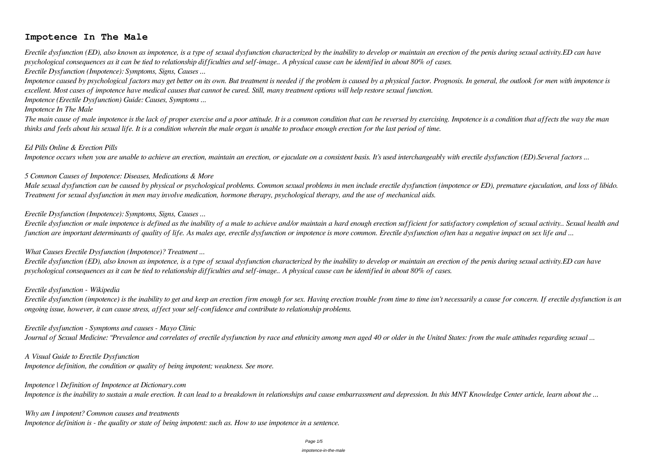# **Impotence In The Male**

*Erectile dysfunction (ED), also known as impotence, is a type of sexual dysfunction characterized by the inability to develop or maintain an erection of the penis during sexual activity.ED can have psychological consequences as it can be tied to relationship difficulties and self-image.. A physical cause can be identified in about 80% of cases. Erectile Dysfunction (Impotence): Symptoms, Signs, Causes ...*

*Impotence caused by psychological factors may get better on its own. But treatment is needed if the problem is caused by a physical factor. Prognosis. In general, the outlook for men with impotence is excellent. Most cases of impotence have medical causes that cannot be cured. Still, many treatment options will help restore sexual function. Impotence (Erectile Dysfunction) Guide: Causes, Symptoms ...*

#### *Impotence In The Male*

*The main cause of male impotence is the lack of proper exercise and a poor attitude. It is a common condition that can be reversed by exercising. Impotence is a condition that affects the way the man thinks and feels about his sexual life. It is a condition wherein the male organ is unable to produce enough erection for the last period of time.*

#### *Ed Pills Online & Erection Pills*

*Impotence occurs when you are unable to achieve an erection, maintain an erection, or ejaculate on a consistent basis. It's used interchangeably with erectile dysfunction (ED).Several factors ...*

#### *5 Common Causes of Impotence: Diseases, Medications & More*

*Male sexual dysfunction can be caused by physical or psychological problems. Common sexual problems in men include erectile dysfunction (impotence or ED), premature ejaculation, and loss of libido. Treatment for sexual dysfunction in men may involve medication, hormone therapy, psychological therapy, and the use of mechanical aids.*

#### *Erectile Dysfunction (Impotence): Symptoms, Signs, Causes ...*

*Erectile dysfunction or male impotence is defined as the inability of a male to achieve and/or maintain a hard enough erection sufficient for satisfactory completion of sexual activity.. Sexual health and function are important determinants of quality of life. As males age, erectile dysfunction or impotence is more common. Erectile dysfunction often has a negative impact on sex life and ...*

## *What Causes Erectile Dysfunction (Impotence)? Treatment ...*

*Erectile dysfunction (ED), also known as impotence, is a type of sexual dysfunction characterized by the inability to develop or maintain an erection of the penis during sexual activity.ED can have psychological consequences as it can be tied to relationship difficulties and self-image.. A physical cause can be identified in about 80% of cases.*

#### *Erectile dysfunction - Wikipedia*

*Erectile dysfunction (impotence) is the inability to get and keep an erection firm enough for sex. Having erection trouble from time to time isn't necessarily a cause for concern. If erectile dysfunction is an ongoing issue, however, it can cause stress, affect your self-confidence and contribute to relationship problems.*

#### *Erectile dysfunction - Symptoms and causes - Mayo Clinic*

*Journal of Sexual Medicine: "Prevalence and correlates of erectile dysfunction by race and ethnicity among men aged 40 or older in the United States: from the male attitudes regarding sexual ...*

*A Visual Guide to Erectile Dysfunction Impotence definition, the condition or quality of being impotent; weakness. See more.*

*Impotence | Definition of Impotence at Dictionary.com Impotence is the inability to sustain a male erection. It can lead to a breakdown in relationships and cause embarrassment and depression. In this MNT Knowledge Center article, learn about the ...*

# *Why am I impotent? Common causes and treatments Impotence definition is - the quality or state of being impotent: such as. How to use impotence in a sentence.*

#### Page 1/5

#### impotence-in-the-male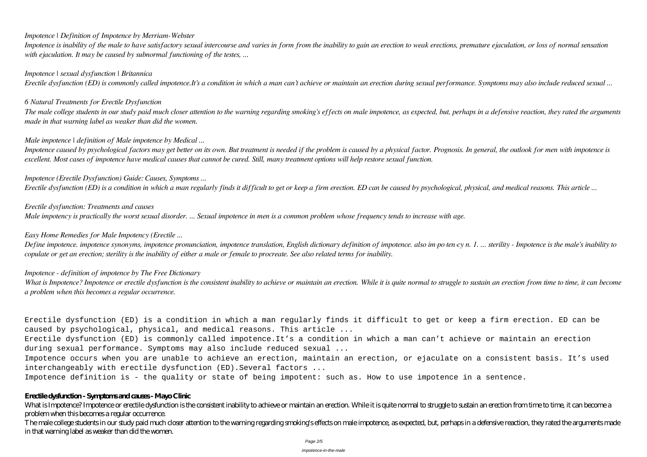# *Impotence | Definition of Impotence by Merriam-Webster*

*Impotence is inability of the male to have satisfactory sexual intercourse and varies in form from the inability to gain an erection to weak erections, premature ejaculation, or loss of normal sensation with ejaculation. It may be caused by subnormal functioning of the testes, ...*

*Impotence | sexual dysfunction | Britannica Erectile dysfunction (ED) is commonly called impotence.It's a condition in which a man can't achieve or maintain an erection during sexual performance. Symptoms may also include reduced sexual ...*

#### *6 Natural Treatments for Erectile Dysfunction*

*The male college students in our study paid much closer attention to the warning regarding smoking's effects on male impotence, as expected, but, perhaps in a defensive reaction, they rated the arguments made in that warning label as weaker than did the women.*

## *Male impotence | definition of Male impotence by Medical ...*

*Impotence caused by psychological factors may get better on its own. But treatment is needed if the problem is caused by a physical factor. Prognosis. In general, the outlook for men with impotence is excellent. Most cases of impotence have medical causes that cannot be cured. Still, many treatment options will help restore sexual function.*

*Impotence (Erectile Dysfunction) Guide: Causes, Symptoms ... Erectile dysfunction (ED) is a condition in which a man regularly finds it difficult to get or keep a firm erection. ED can be caused by psychological, physical, and medical reasons. This article ...*

# *Erectile dysfunction: Treatments and causes*

*Male impotency is practically the worst sexual disorder. ... Sexual impotence in men is a common problem whose frequency tends to increase with age.*

#### *Easy Home Remedies for Male Impotency (Erectile ...*

*Define impotence. impotence synonyms, impotence pronunciation, impotence translation, English dictionary definition of impotence. also im·po·ten·cy n. 1. ... sterility - Impotence is the male's inability to copulate or get an erection; sterility is the inability of either a male or female to procreate. See also related terms for inability.*

#### *Impotence - definition of impotence by The Free Dictionary*

*What is Impotence? Impotence or erectile dysfunction is the consistent inability to achieve or maintain an erection. While it is quite normal to struggle to sustain an erection from time to time, it can become a problem when this becomes a regular occurrence.*

Erectile dysfunction (ED) is a condition in which a man regularly finds it difficult to get or keep a firm erection. ED can be caused by psychological, physical, and medical reasons. This article ...

Erectile dysfunction (ED) is commonly called impotence.It's a condition in which a man can't achieve or maintain an erection during sexual performance. Symptoms may also include reduced sexual ...

Impotence occurs when you are unable to achieve an erection, maintain an erection, or ejaculate on a consistent basis. It's used interchangeably with erectile dysfunction (ED).Several factors ...

Impotence definition is - the quality or state of being impotent: such as. How to use impotence in a sentence.

#### **Erectile dysfunction - Symptoms and causes - Mayo Clinic**

What is Impotence? Impotence or erectile dysfunction is the consistent inability to achieve or maintain an erection. While it is quite normal to struggle to sustain an erection from time to time, it can become a problem when this becomes a regular occurrence. The male college students in our study paid much closer attention to the warning regarding smoking's effects on male impotence, as expected, but, perhaps in a defensive reaction, they rated the arguments made

in that warning label as weaker than did the women.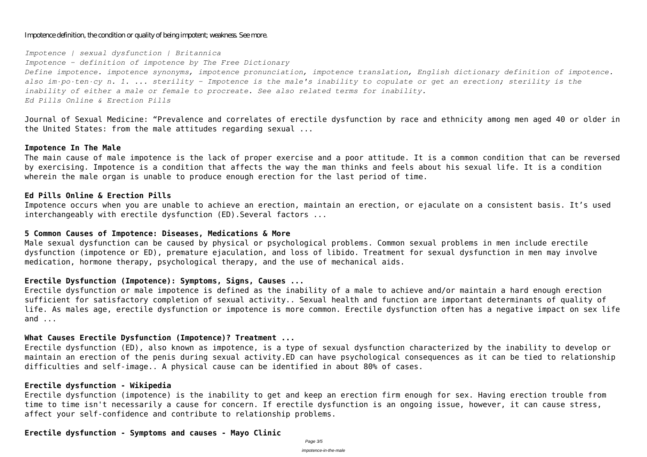#### Impotence definition, the condition or quality of being impotent; weakness. See more.

*Impotence | sexual dysfunction | Britannica*

*Impotence - definition of impotence by The Free Dictionary Define impotence. impotence synonyms, impotence pronunciation, impotence translation, English dictionary definition of impotence. also im·po·ten·cy n. 1. ... sterility - Impotence is the male's inability to copulate or get an erection; sterility is the inability of either a male or female to procreate. See also related terms for inability. Ed Pills Online & Erection Pills*

Journal of Sexual Medicine: "Prevalence and correlates of erectile dysfunction by race and ethnicity among men aged 40 or older in the United States: from the male attitudes regarding sexual ...

#### **Impotence In The Male**

The main cause of male impotence is the lack of proper exercise and a poor attitude. It is a common condition that can be reversed by exercising. Impotence is a condition that affects the way the man thinks and feels about his sexual life. It is a condition wherein the male organ is unable to produce enough erection for the last period of time.

#### **Ed Pills Online & Erection Pills**

Impotence occurs when you are unable to achieve an erection, maintain an erection, or ejaculate on a consistent basis. It's used interchangeably with erectile dysfunction (ED).Several factors ...

#### **5 Common Causes of Impotence: Diseases, Medications & More**

Male sexual dysfunction can be caused by physical or psychological problems. Common sexual problems in men include erectile dysfunction (impotence or ED), premature ejaculation, and loss of libido. Treatment for sexual dysfunction in men may involve medication, hormone therapy, psychological therapy, and the use of mechanical aids.

## **Erectile Dysfunction (Impotence): Symptoms, Signs, Causes ...**

Erectile dysfunction or male impotence is defined as the inability of a male to achieve and/or maintain a hard enough erection sufficient for satisfactory completion of sexual activity.. Sexual health and function are important determinants of quality of life. As males age, erectile dysfunction or impotence is more common. Erectile dysfunction often has a negative impact on sex life and ...

#### **What Causes Erectile Dysfunction (Impotence)? Treatment ...**

Erectile dysfunction (ED), also known as impotence, is a type of sexual dysfunction characterized by the inability to develop or maintain an erection of the penis during sexual activity.ED can have psychological consequences as it can be tied to relationship difficulties and self-image.. A physical cause can be identified in about 80% of cases.

#### **Erectile dysfunction - Wikipedia**

Erectile dysfunction (impotence) is the inability to get and keep an erection firm enough for sex. Having erection trouble from time to time isn't necessarily a cause for concern. If erectile dysfunction is an ongoing issue, however, it can cause stress, affect your self-confidence and contribute to relationship problems.

# **Erectile dysfunction - Symptoms and causes - Mayo Clinic**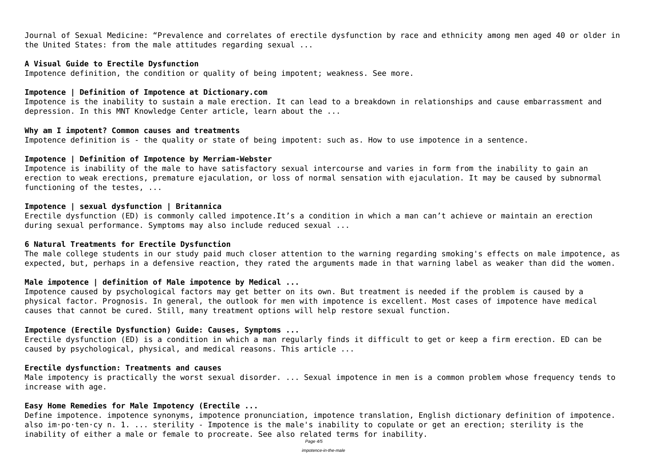Journal of Sexual Medicine: "Prevalence and correlates of erectile dysfunction by race and ethnicity among men aged 40 or older in the United States: from the male attitudes regarding sexual ...

## **A Visual Guide to Erectile Dysfunction**

Impotence definition, the condition or quality of being impotent; weakness. See more.

#### **Impotence | Definition of Impotence at Dictionary.com**

Impotence is the inability to sustain a male erection. It can lead to a breakdown in relationships and cause embarrassment and depression. In this MNT Knowledge Center article, learn about the ...

#### **Why am I impotent? Common causes and treatments**

Impotence definition is - the quality or state of being impotent: such as. How to use impotence in a sentence.

#### **Impotence | Definition of Impotence by Merriam-Webster**

Impotence is inability of the male to have satisfactory sexual intercourse and varies in form from the inability to gain an erection to weak erections, premature ejaculation, or loss of normal sensation with ejaculation. It may be caused by subnormal functioning of the testes, ...

#### **Impotence | sexual dysfunction | Britannica**

Erectile dysfunction (ED) is commonly called impotence.It's a condition in which a man can't achieve or maintain an erection during sexual performance. Symptoms may also include reduced sexual ...

## **6 Natural Treatments for Erectile Dysfunction**

The male college students in our study paid much closer attention to the warning regarding smoking's effects on male impotence, as expected, but, perhaps in a defensive reaction, they rated the arguments made in that warning label as weaker than did the women.

## **Male impotence | definition of Male impotence by Medical ...**

Impotence caused by psychological factors may get better on its own. But treatment is needed if the problem is caused by a physical factor. Prognosis. In general, the outlook for men with impotence is excellent. Most cases of impotence have medical causes that cannot be cured. Still, many treatment options will help restore sexual function.

## **Impotence (Erectile Dysfunction) Guide: Causes, Symptoms ...**

Erectile dysfunction (ED) is a condition in which a man regularly finds it difficult to get or keep a firm erection. ED can be caused by psychological, physical, and medical reasons. This article ...

## **Erectile dysfunction: Treatments and causes**

Male impotency is practically the worst sexual disorder. ... Sexual impotence in men is a common problem whose frequency tends to increase with age.

## **Easy Home Remedies for Male Impotency (Erectile ...**

Define impotence. impotence synonyms, impotence pronunciation, impotence translation, English dictionary definition of impotence. also im·po·ten·cy n. 1. ... sterility - Impotence is the male's inability to copulate or get an erection; sterility is the inability of either a male or female to procreate. See also related terms for inability.